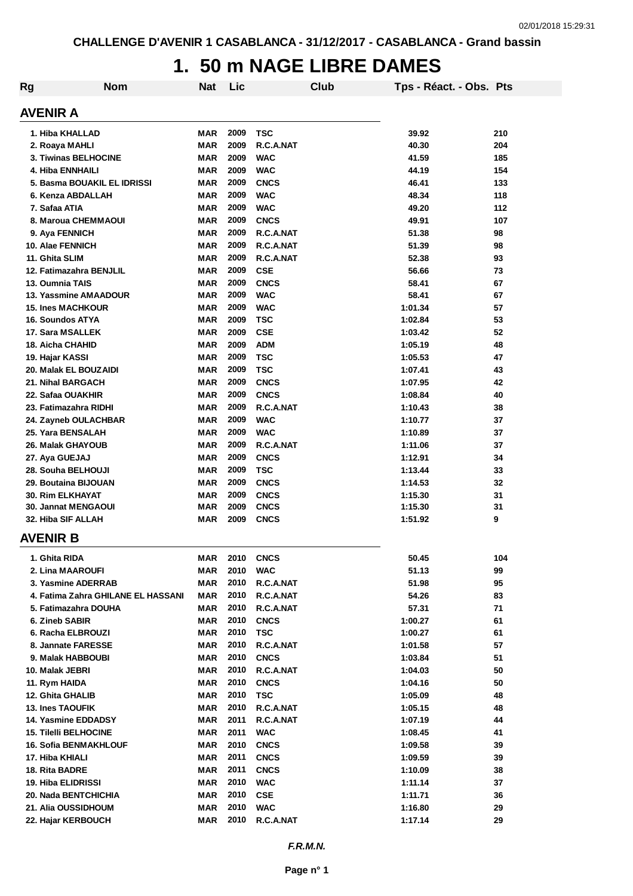### **1. 50 m NAGE LIBRE DAMES**

| Rg | <b>Nom</b>                         | <b>Nat</b> | Lic  |             | <b>Club</b> | Tps - Réact. - Obs. Pts |     |
|----|------------------------------------|------------|------|-------------|-------------|-------------------------|-----|
|    | AVENIR A                           |            |      |             |             |                         |     |
|    | 1. Hiba KHALLAD                    | <b>MAR</b> | 2009 | <b>TSC</b>  |             | 39.92                   | 210 |
|    | 2. Roaya MAHLI                     | <b>MAR</b> | 2009 | R.C.A.NAT   |             | 40.30                   | 204 |
|    | 3. Tiwinas BELHOCINE               | <b>MAR</b> | 2009 | <b>WAC</b>  |             | 41.59                   | 185 |
|    | 4. Hiba ENNHAILI                   | <b>MAR</b> | 2009 | <b>WAC</b>  |             | 44.19                   | 154 |
|    | 5. Basma BOUAKIL EL IDRISSI        | <b>MAR</b> | 2009 | <b>CNCS</b> |             | 46.41                   | 133 |
|    | 6. Kenza ABDALLAH                  | <b>MAR</b> | 2009 | <b>WAC</b>  |             | 48.34                   | 118 |
|    | 7. Safaa ATIA                      | <b>MAR</b> | 2009 | <b>WAC</b>  |             | 49.20                   | 112 |
|    | 8. Maroua CHEMMAOUI                | <b>MAR</b> | 2009 | <b>CNCS</b> |             | 49.91                   | 107 |
|    | 9. Aya FENNICH                     | MAR        | 2009 | R.C.A.NAT   |             | 51.38                   | 98  |
|    | 10. Alae FENNICH                   | <b>MAR</b> | 2009 | R.C.A.NAT   |             | 51.39                   | 98  |
|    | 11. Ghita SLIM                     | <b>MAR</b> | 2009 | R.C.A.NAT   |             | 52.38                   | 93  |
|    | 12. Fatimazahra BENJLIL            | <b>MAR</b> | 2009 | <b>CSE</b>  |             | 56.66                   | 73  |
|    | 13. Oumnia TAIS                    | <b>MAR</b> | 2009 | <b>CNCS</b> |             | 58.41                   | 67  |
|    | 13. Yassmine AMAADOUR              | <b>MAR</b> | 2009 | <b>WAC</b>  |             | 58.41                   | 67  |
|    | <b>15. Ines MACHKOUR</b>           | <b>MAR</b> | 2009 | <b>WAC</b>  |             | 1:01.34                 | 57  |
|    | 16. Soundos ATYA                   | <b>MAR</b> | 2009 | <b>TSC</b>  |             | 1:02.84                 | 53  |
|    | 17. Sara MSALLEK                   | <b>MAR</b> | 2009 | <b>CSE</b>  |             | 1:03.42                 | 52  |
|    | <b>18. Aicha CHAHID</b>            | <b>MAR</b> | 2009 | <b>ADM</b>  |             | 1:05.19                 | 48  |
|    | 19. Hajar KASSI                    | <b>MAR</b> | 2009 | <b>TSC</b>  |             | 1:05.53                 | 47  |
|    | 20. Malak EL BOUZAIDI              | <b>MAR</b> | 2009 | <b>TSC</b>  |             | 1:07.41                 | 43  |
|    | 21. Nihal BARGACH                  | <b>MAR</b> | 2009 | <b>CNCS</b> |             | 1:07.95                 | 42  |
|    | 22. Safaa OUAKHIR                  | <b>MAR</b> | 2009 | <b>CNCS</b> |             | 1:08.84                 | 40  |
|    | 23. Fatimazahra RIDHI              | <b>MAR</b> | 2009 | R.C.A.NAT   |             | 1:10.43                 | 38  |
|    | 24. Zayneb OULACHBAR               | <b>MAR</b> | 2009 | <b>WAC</b>  |             | 1:10.77                 | 37  |
|    | 25. Yara BENSALAH                  | MAR        | 2009 | <b>WAC</b>  |             | 1:10.89                 | 37  |
|    | 26. Malak GHAYOUB                  | <b>MAR</b> | 2009 | R.C.A.NAT   |             | 1:11.06                 | 37  |
|    | 27. Aya GUEJAJ                     | <b>MAR</b> | 2009 | <b>CNCS</b> |             | 1:12.91                 | 34  |
|    | 28. Souha BELHOUJI                 | <b>MAR</b> | 2009 | <b>TSC</b>  |             | 1:13.44                 | 33  |
|    | 29. Boutaina BIJOUAN               | <b>MAR</b> | 2009 | <b>CNCS</b> |             | 1:14.53                 | 32  |
|    | <b>30. Rim ELKHAYAT</b>            | <b>MAR</b> | 2009 | <b>CNCS</b> |             | 1:15.30                 | 31  |
|    | <b>30. Jannat MENGAOUI</b>         | <b>MAR</b> | 2009 | <b>CNCS</b> |             | 1:15.30                 | 31  |
|    | 32. Hiba SIF ALLAH                 | <b>MAR</b> | 2009 | <b>CNCS</b> |             | 1:51.92                 | 9   |
|    | AVENIR B                           |            |      |             |             |                         |     |
|    |                                    |            |      |             |             |                         |     |
|    | 1. Ghita RIDA                      | MAR        | 2010 | <b>CNCS</b> |             | 50.45                   | 104 |
|    | 2. Lina MAAROUFI                   | MAR        | 2010 | <b>WAC</b>  |             | 51.13                   | 99  |
|    | 3. Yasmine ADERRAB                 | MAR        | 2010 | R.C.A.NAT   |             | 51.98                   | 95  |
|    | 4. Fatima Zahra GHILANE EL HASSANI | <b>MAR</b> | 2010 | R.C.A.NAT   |             | 54.26                   | 83  |
|    | 5. Fatimazahra DOUHA               | <b>MAR</b> | 2010 | R.C.A.NAT   |             | 57.31                   | 71  |
|    | 6. Zineb SABIR                     | <b>MAR</b> | 2010 | <b>CNCS</b> |             | 1:00.27                 | 61  |
|    | 6. Racha ELBROUZI                  | <b>MAR</b> | 2010 | <b>TSC</b>  |             | 1:00.27                 | 61  |
|    | 8. Jannate FARESSE                 | MAR        | 2010 | R.C.A.NAT   |             | 1:01.58                 | 57  |
|    | 9. Malak HABBOUBI                  | MAR        | 2010 | <b>CNCS</b> |             | 1:03.84                 | 51  |
|    | 10. Malak JEBRI                    | MAR        | 2010 | R.C.A.NAT   |             | 1:04.03                 | 50  |
|    | 11. Rym HAIDA                      | MAR        | 2010 | <b>CNCS</b> |             | 1:04.16                 | 50  |
|    | 12. Ghita GHALIB                   | MAR        | 2010 | <b>TSC</b>  |             | 1:05.09                 | 48  |
|    | <b>13. Ines TAOUFIK</b>            | MAR        | 2010 | R.C.A.NAT   |             | 1:05.15                 | 48  |
|    | 14. Yasmine EDDADSY                | MAR        | 2011 | R.C.A.NAT   |             | 1:07.19                 | 44  |
|    | <b>15. Tilelli BELHOCINE</b>       | <b>MAR</b> | 2011 | <b>WAC</b>  |             | 1:08.45                 | 41  |
|    | <b>16. Sofia BENMAKHLOUF</b>       | MAR        | 2010 | <b>CNCS</b> |             | 1:09.58                 | 39  |
|    | 17. Hiba KHIALI                    | <b>MAR</b> | 2011 | <b>CNCS</b> |             | 1:09.59                 | 39  |
|    | 18. Rita BADRE                     | <b>MAR</b> | 2011 | <b>CNCS</b> |             | 1:10.09                 | 38  |
|    | 19. Hiba ELIDRISSI                 | <b>MAR</b> | 2010 | <b>WAC</b>  |             | 1:11.14                 | 37  |
|    | 20. Nada BENTCHICHIA               | <b>MAR</b> | 2010 | <b>CSE</b>  |             | 1:11.71                 | 36  |
|    | 21. Alia OUSSIDHOUM                | <b>MAR</b> | 2010 | <b>WAC</b>  |             | 1:16.80                 | 29  |
|    | 22. Hajar KERBOUCH                 | <b>MAR</b> | 2010 | R.C.A.NAT   |             | 1:17.14                 | 29  |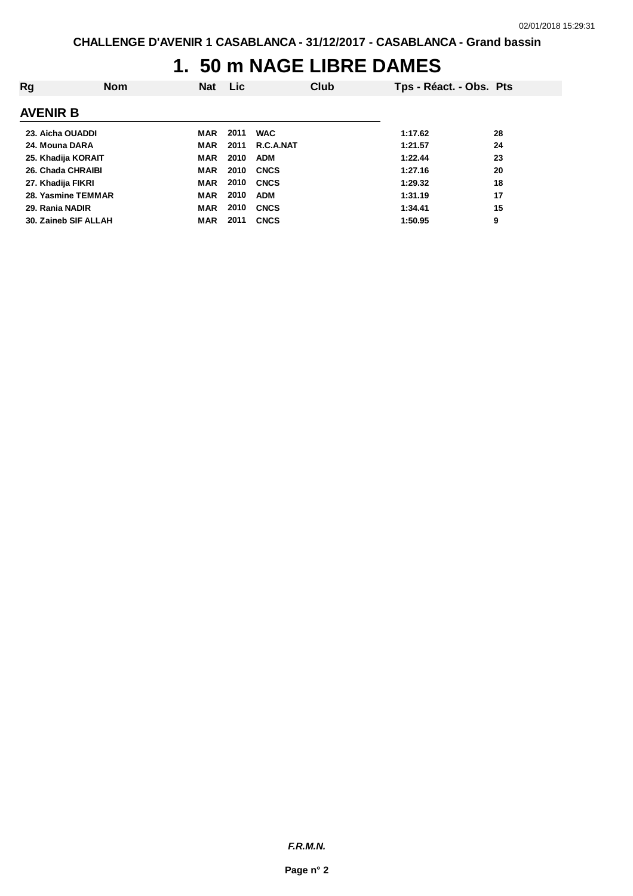### **1. 50 m NAGE LIBRE DAMES**

| Rg                | <b>Nom</b>           | <b>Nat</b> | <b>Lic</b> | Club        | Tps - Réact. - Obs. Pts |    |
|-------------------|----------------------|------------|------------|-------------|-------------------------|----|
| AVENIR B          |                      |            |            |             |                         |    |
|                   | 23. Aicha OUADDI     | MAR        | 2011       | <b>WAC</b>  | 1:17.62                 | 28 |
| 24. Mouna DARA    |                      | MAR        | 2011       | R.C.A.NAT   | 1:21.57                 | 24 |
|                   | 25. Khadija KORAIT   | <b>MAR</b> | 2010       | <b>ADM</b>  | 1:22.44                 | 23 |
|                   | 26. Chada CHRAIBI    | <b>MAR</b> | 2010       | <b>CNCS</b> | 1:27.16                 | 20 |
| 27. Khadija FIKRI |                      | <b>MAR</b> | 2010       | <b>CNCS</b> | 1:29.32                 | 18 |
|                   | 28. Yasmine TEMMAR   | <b>MAR</b> | 2010       | <b>ADM</b>  | 1:31.19                 | 17 |
| 29. Rania NADIR   |                      | <b>MAR</b> | 2010       | <b>CNCS</b> | 1:34.41                 | 15 |
|                   | 30. Zaineb SIF ALLAH | <b>MAR</b> | 2011       | <b>CNCS</b> | 1:50.95                 | 9  |
|                   |                      |            |            |             |                         |    |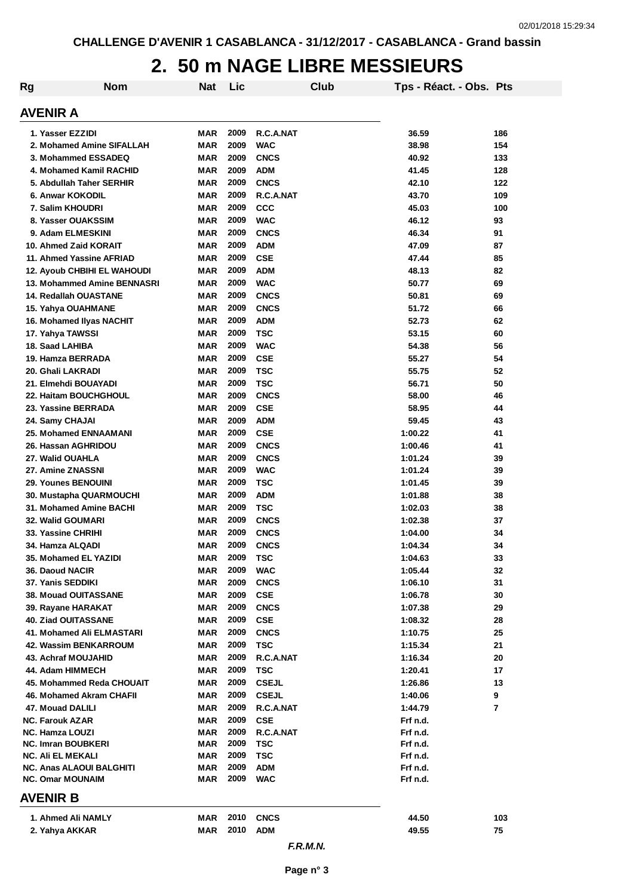### **2. 50 m NAGE LIBRE MESSIEURS**

| Rg                                               | <b>Nom</b>                         | <b>Nat</b> | Lic          |                           | Club | Tps - Réact. - Obs. Pts |                |
|--------------------------------------------------|------------------------------------|------------|--------------|---------------------------|------|-------------------------|----------------|
| AVENIR A                                         |                                    |            |              |                           |      |                         |                |
| 1. Yasser EZZIDI                                 |                                    | MAR        | 2009         | R.C.A.NAT                 |      | 36.59                   | 186            |
|                                                  | 2. Mohamed Amine SIFALLAH          | <b>MAR</b> | 2009         | <b>WAC</b>                |      | 38.98                   | 154            |
| 3. Mohammed ESSADEQ                              |                                    | <b>MAR</b> | 2009         | <b>CNCS</b>               |      | 40.92                   | 133            |
| 4. Mohamed Kamil RACHID                          |                                    | <b>MAR</b> | 2009         | <b>ADM</b>                |      | 41.45                   | 128            |
| 5. Abdullah Taher SERHIR                         |                                    | <b>MAR</b> | 2009         | <b>CNCS</b>               |      | 42.10                   | 122            |
| 6. Anwar KOKODIL                                 |                                    | <b>MAR</b> | 2009         | R.C.A.NAT                 |      | 43.70                   | 109            |
| 7. Salim KHOUDRI                                 |                                    | <b>MAR</b> | 2009         | <b>CCC</b>                |      | 45.03                   | 100            |
| 8. Yasser OUAKSSIM                               |                                    | <b>MAR</b> | 2009         | <b>WAC</b>                |      | 46.12                   | 93             |
| 9. Adam ELMESKINI                                |                                    | <b>MAR</b> | 2009         | <b>CNCS</b>               |      | 46.34                   | 91             |
| 10. Ahmed Zaid KORAIT                            |                                    | <b>MAR</b> | 2009         | <b>ADM</b>                |      | 47.09                   | 87             |
| 11. Ahmed Yassine AFRIAD                         |                                    | <b>MAR</b> | 2009         | <b>CSE</b>                |      | 47.44                   | 85             |
|                                                  | <b>12. Ayoub CHBIHI EL WAHOUDI</b> | <b>MAR</b> | 2009         | <b>ADM</b>                |      | 48.13                   | 82             |
|                                                  | 13. Mohammed Amine BENNASRI        | <b>MAR</b> | 2009         | <b>WAC</b>                |      | 50.77                   | 69             |
| 14. Redallah OUASTANE                            |                                    | <b>MAR</b> | 2009         | <b>CNCS</b>               |      | 50.81                   | 69             |
| 15. Yahya OUAHMANE                               |                                    | <b>MAR</b> | 2009         | <b>CNCS</b>               |      | 51.72                   | 66             |
| 16. Mohamed Ilyas NACHIT                         |                                    | <b>MAR</b> | 2009         | <b>ADM</b>                |      | 52.73                   | 62             |
| 17. Yahya TAWSSI                                 |                                    | <b>MAR</b> | 2009         | <b>TSC</b>                |      | 53.15                   | 60             |
| 18. Saad LAHIBA                                  |                                    | <b>MAR</b> | 2009         | <b>WAC</b>                |      | 54.38                   | 56             |
| 19. Hamza BERRADA                                |                                    | <b>MAR</b> | 2009         | <b>CSE</b>                |      | 55.27                   | 54             |
| 20. Ghali LAKRADI                                |                                    | <b>MAR</b> | 2009         | <b>TSC</b>                |      | 55.75                   | 52             |
| 21. Elmehdi BOUAYADI                             |                                    | <b>MAR</b> | 2009         | <b>TSC</b>                |      | 56.71                   | 50             |
| <b>22. Haitam BOUCHGHOUL</b>                     |                                    | <b>MAR</b> | 2009         | <b>CNCS</b>               |      | 58.00                   | 46             |
| 23. Yassine BERRADA                              |                                    | <b>MAR</b> | 2009         | <b>CSE</b>                |      | 58.95                   | 44             |
| 24. Samy CHAJAI                                  |                                    | <b>MAR</b> | 2009         | <b>ADM</b>                |      | 59.45                   | 43             |
| <b>25. Mohamed ENNAAMANI</b>                     |                                    | MAR        | 2009         | <b>CSE</b>                |      | 1:00.22                 | 41             |
| 26. Hassan AGHRIDOU                              |                                    | <b>MAR</b> | 2009         | <b>CNCS</b>               |      | 1:00.46                 | 41             |
| 27. Walid OUAHLA                                 |                                    | MAR        | 2009         | <b>CNCS</b>               |      | 1:01.24                 | 39             |
| 27. Amine ZNASSNI                                |                                    | MAR        | 2009         | <b>WAC</b>                |      | 1:01.24                 | 39             |
| <b>29. Younes BENOUINI</b>                       |                                    | MAR        | 2009         | <b>TSC</b>                |      | 1:01.45                 | 39             |
| 30. Mustapha QUARMOUCHI                          |                                    | <b>MAR</b> | 2009         | <b>ADM</b>                |      | 1:01.88                 | 38             |
| 31. Mohamed Amine BACHI                          |                                    | <b>MAR</b> | 2009         | <b>TSC</b>                |      | 1:02.03                 | 38             |
| <b>32. Walid GOUMARI</b>                         |                                    | <b>MAR</b> | 2009         | <b>CNCS</b>               |      | 1:02.38                 | 37             |
| 33. Yassine CHRIHI                               |                                    | <b>MAR</b> | 2009         | <b>CNCS</b>               |      | 1:04.00                 | 34             |
| 34. Hamza ALQADI                                 |                                    | <b>MAR</b> | 2009         | <b>CNCS</b>               |      | 1:04.34                 | 34             |
| 35. Mohamed EL YAZIDI                            |                                    | MAR        | 2009<br>2009 | TSC                       |      | 1:04.63                 | 33             |
| 36. Daoud NACIR                                  |                                    | <b>MAR</b> |              | <b>WAC</b>                |      | 1:05.44                 | 32             |
| 37. Yanis SEDDIKI                                |                                    | <b>MAR</b> | 2009<br>2009 | <b>CNCS</b>               |      | 1:06.10                 | 31             |
| <b>38. Mouad OUITASSANE</b>                      |                                    | <b>MAR</b> | 2009         | <b>CSE</b>                |      | 1:06.78                 | 30             |
| 39. Rayane HARAKAT<br><b>40. Ziad OUITASSANE</b> |                                    | <b>MAR</b> | 2009         | <b>CNCS</b><br><b>CSE</b> |      | 1:07.38                 | 29             |
| 41. Mohamed Ali ELMASTARI                        |                                    | MAR<br>MAR | 2009         | <b>CNCS</b>               |      | 1:08.32<br>1:10.75      | 28<br>25       |
| 42. Wassim BENKARROUM                            |                                    | MAR        | 2009         | <b>TSC</b>                |      | 1:15.34                 | 21             |
| <b>43. Achraf MOUJAHID</b>                       |                                    | MAR        | 2009         | R.C.A.NAT                 |      | 1:16.34                 | 20             |
| 44. Adam HIMMECH                                 |                                    | MAR        | 2009         | <b>TSC</b>                |      | 1:20.41                 | 17             |
| 45. Mohammed Reda CHOUAIT                        |                                    | MAR        | 2009         | <b>CSEJL</b>              |      | 1:26.86                 | 13             |
| 46. Mohamed Akram CHAFII                         |                                    | MAR        | 2009         | <b>CSEJL</b>              |      | 1:40.06                 | 9              |
| 47. Mouad DALILI                                 |                                    | MAR        | 2009         | R.C.A.NAT                 |      | 1:44.79                 | $\overline{7}$ |
| <b>NC. Farouk AZAR</b>                           |                                    | MAR        | 2009         | <b>CSE</b>                |      | Frf n.d.                |                |
| <b>NC. Hamza LOUZI</b>                           |                                    | MAR        | 2009         | R.C.A.NAT                 |      | Frf n.d.                |                |
| <b>NC. Imran BOUBKERI</b>                        |                                    | MAR        | 2009         | TSC                       |      | Frf n.d.                |                |
| NC. Ali EL MEKALI                                |                                    | MAR        | 2009         | <b>TSC</b>                |      | Frf n.d.                |                |
| NC. Anas ALAOUI BALGHITI                         |                                    | MAR        | 2009         | <b>ADM</b>                |      | Frf n.d.                |                |
| <b>NC. Omar MOUNAIM</b>                          |                                    | MAR        | 2009         | <b>WAC</b>                |      | Frf n.d.                |                |
| AVENIR B                                         |                                    |            |              |                           |      |                         |                |
| 1. Ahmed Ali NAMLY                               |                                    | MAR        | 2010         | <b>CNCS</b>               |      | 44.50                   | 103            |
| 2. Yahya AKKAR                                   |                                    | MAR        | 2010         | <b>ADM</b>                |      | 49.55                   | 75             |
|                                                  |                                    |            |              | F.R.M.N.                  |      |                         |                |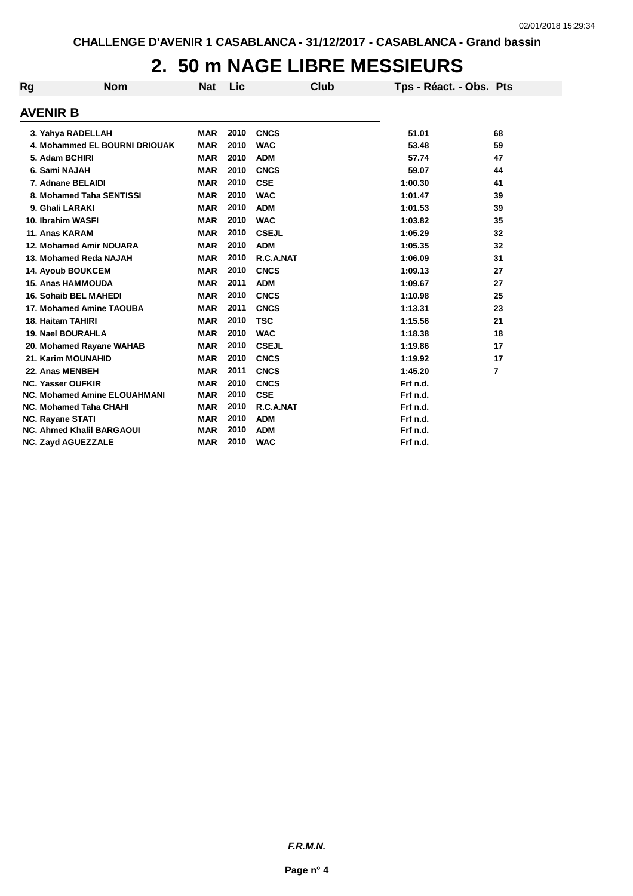### **2. 50 m NAGE LIBRE MESSIEURS**

| Rg              | <b>Nom</b>                          | <b>Nat</b> | Lic  | Club         | Tps - Réact. - Obs. Pts |                |
|-----------------|-------------------------------------|------------|------|--------------|-------------------------|----------------|
| <b>AVENIR B</b> |                                     |            |      |              |                         |                |
|                 | 3. Yahya RADELLAH                   | <b>MAR</b> | 2010 | <b>CNCS</b>  | 51.01                   | 68             |
|                 | 4. Mohammed EL BOURNI DRIOUAK       | <b>MAR</b> | 2010 | <b>WAC</b>   | 53.48                   | 59             |
|                 | 5. Adam BCHIRI                      | <b>MAR</b> | 2010 | <b>ADM</b>   | 57.74                   | 47             |
|                 | 6. Sami NAJAH                       | <b>MAR</b> | 2010 | <b>CNCS</b>  | 59.07                   | 44             |
|                 | 7. Adnane BELAIDI                   | <b>MAR</b> | 2010 | <b>CSE</b>   | 1:00.30                 | 41             |
|                 | 8. Mohamed Taha SENTISSI            | <b>MAR</b> | 2010 | <b>WAC</b>   | 1:01.47                 | 39             |
|                 | 9. Ghali LARAKI                     | <b>MAR</b> | 2010 | <b>ADM</b>   | 1:01.53                 | 39             |
|                 | 10. Ibrahim WASFI                   | <b>MAR</b> | 2010 | <b>WAC</b>   | 1:03.82                 | 35             |
|                 | 11. Anas KARAM                      | <b>MAR</b> | 2010 | <b>CSEJL</b> | 1:05.29                 | 32             |
|                 | 12. Mohamed Amir NOUARA             | <b>MAR</b> | 2010 | <b>ADM</b>   | 1:05.35                 | 32             |
|                 | 13. Mohamed Reda NAJAH              | <b>MAR</b> | 2010 | R.C.A.NAT    | 1:06.09                 | 31             |
|                 | <b>14. Ayoub BOUKCEM</b>            | <b>MAR</b> | 2010 | <b>CNCS</b>  | 1:09.13                 | 27             |
|                 | <b>15. Anas HAMMOUDA</b>            | <b>MAR</b> | 2011 | <b>ADM</b>   | 1:09.67                 | 27             |
|                 | <b>16. Sohaib BEL MAHEDI</b>        | <b>MAR</b> | 2010 | <b>CNCS</b>  | 1:10.98                 | 25             |
|                 | 17. Mohamed Amine TAOUBA            | <b>MAR</b> | 2011 | <b>CNCS</b>  | 1:13.31                 | 23             |
|                 | <b>18. Haitam TAHIRI</b>            | <b>MAR</b> | 2010 | <b>TSC</b>   | 1:15.56                 | 21             |
|                 | <b>19. Nael BOURAHLA</b>            | <b>MAR</b> | 2010 | <b>WAC</b>   | 1:18.38                 | 18             |
|                 | 20. Mohamed Rayane WAHAB            | <b>MAR</b> | 2010 | <b>CSEJL</b> | 1:19.86                 | 17             |
|                 | 21. Karim MOUNAHID                  | <b>MAR</b> | 2010 | <b>CNCS</b>  | 1:19.92                 | 17             |
|                 | 22. Anas MENBEH                     | <b>MAR</b> | 2011 | <b>CNCS</b>  | 1:45.20                 | $\overline{7}$ |
|                 | <b>NC. Yasser OUFKIR</b>            | <b>MAR</b> | 2010 | <b>CNCS</b>  | Frf n.d.                |                |
|                 | <b>NC. Mohamed Amine ELOUAHMANI</b> | <b>MAR</b> | 2010 | <b>CSE</b>   | Frf n.d.                |                |
|                 | <b>NC. Mohamed Taha CHAHI</b>       | <b>MAR</b> | 2010 | R.C.A.NAT    | Frf n.d.                |                |
|                 | <b>NC. Rayane STATI</b>             | <b>MAR</b> | 2010 | <b>ADM</b>   | Frf n.d.                |                |
|                 | <b>NC. Ahmed Khalil BARGAOUI</b>    | <b>MAR</b> | 2010 | <b>ADM</b>   | Frf n.d.                |                |
|                 | <b>NC. Zayd AGUEZZALE</b>           | <b>MAR</b> | 2010 | <b>WAC</b>   | Frf n.d.                |                |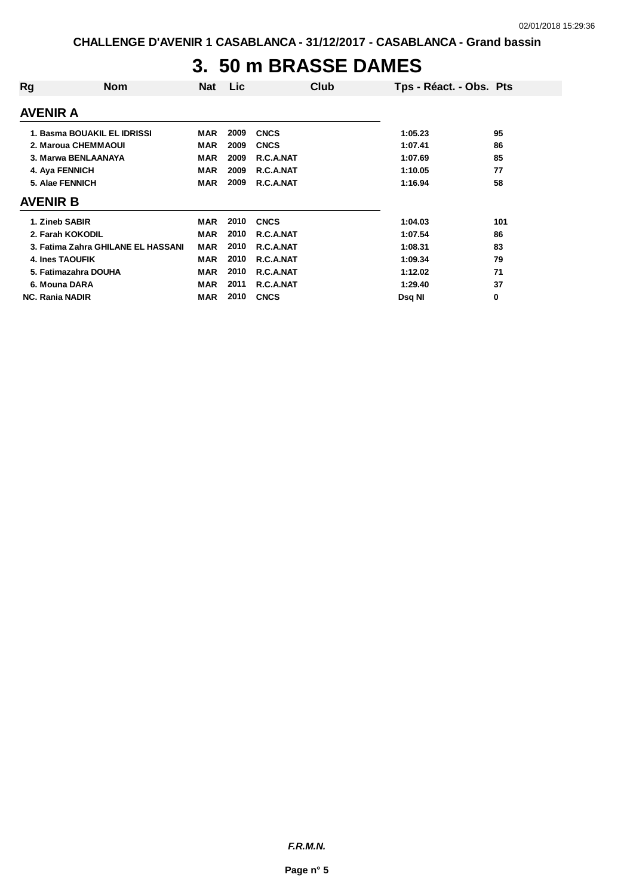### **3. 50 m BRASSE DAMES**

| Rg                     | <b>Nom</b>                         | <b>Nat</b> | Lic  | Club        | Tps - Réact. - Obs. Pts |     |
|------------------------|------------------------------------|------------|------|-------------|-------------------------|-----|
| <b>AVENIR A</b>        |                                    |            |      |             |                         |     |
|                        | 1. Basma BOUAKIL EL IDRISSI        | <b>MAR</b> | 2009 | <b>CNCS</b> | 1:05.23                 | 95  |
|                        | 2. Maroua CHEMMAOUI                | MAR        | 2009 | <b>CNCS</b> | 1:07.41                 | 86  |
|                        | 3. Marwa BENLAANAYA                | MAR        | 2009 | R.C.A.NAT   | 1:07.69                 | 85  |
|                        | 4. Aya FENNICH                     | MAR        | 2009 | R.C.A.NAT   | 1:10.05                 | 77  |
|                        | 5. Alae FENNICH                    | MAR        | 2009 | R.C.A.NAT   | 1:16.94                 | 58  |
| <b>AVENIR B</b>        |                                    |            |      |             |                         |     |
|                        | 1. Zineb SABIR                     | <b>MAR</b> | 2010 | <b>CNCS</b> | 1:04.03                 | 101 |
|                        | 2. Farah KOKODIL                   | <b>MAR</b> | 2010 | R.C.A.NAT   | 1:07.54                 | 86  |
|                        | 3. Fatima Zahra GHILANE EL HASSANI | <b>MAR</b> | 2010 | R.C.A.NAT   | 1:08.31                 | 83  |
|                        | <b>4. Ines TAOUFIK</b>             | <b>MAR</b> | 2010 | R.C.A.NAT   | 1:09.34                 | 79  |
|                        | 5. Fatimazahra DOUHA               | <b>MAR</b> | 2010 | R.C.A.NAT   | 1:12.02                 | 71  |
|                        | 6. Mouna DARA                      | <b>MAR</b> | 2011 | R.C.A.NAT   | 1:29.40                 | 37  |
| <b>NC. Rania NADIR</b> |                                    | <b>MAR</b> | 2010 | <b>CNCS</b> | Dsg NI                  | 0   |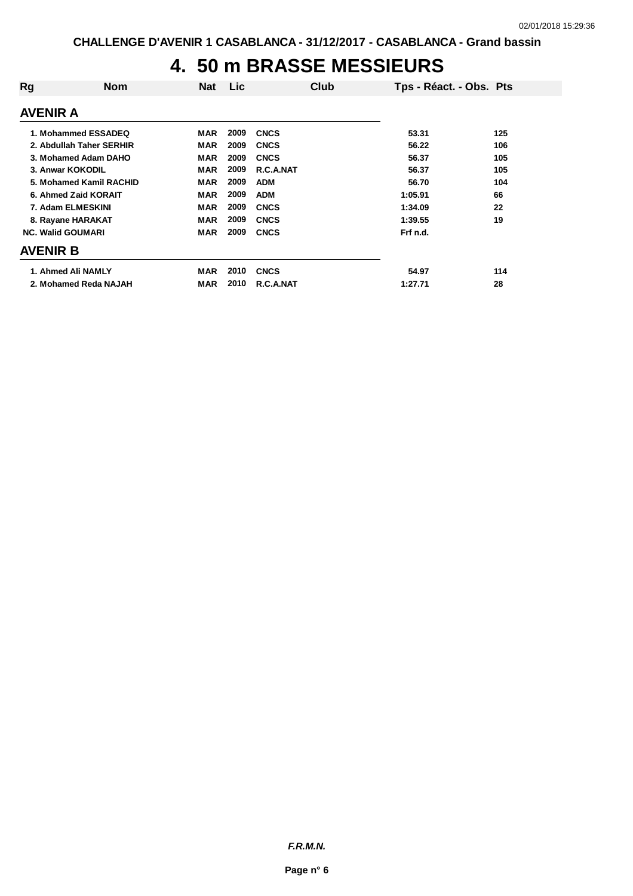### **4. 50 m BRASSE MESSIEURS**

| Rg                       | <b>Nom</b> | Nat        | <b>Lic</b> | Club        |          | Tps - Réact. - Obs. Pts |
|--------------------------|------------|------------|------------|-------------|----------|-------------------------|
| <b>AVENIR A</b>          |            |            |            |             |          |                         |
| 1. Mohammed ESSADEQ      |            | MAR        | 2009       | <b>CNCS</b> | 53.31    | 125                     |
| 2. Abdullah Taher SERHIR |            | <b>MAR</b> | 2009       | <b>CNCS</b> | 56.22    | 106                     |
| 3. Mohamed Adam DAHO     |            | <b>MAR</b> | 2009       | <b>CNCS</b> | 56.37    | 105                     |
| 3. Anwar KOKODIL         |            | <b>MAR</b> | 2009       | R.C.A.NAT   | 56.37    | 105                     |
| 5. Mohamed Kamil RACHID  |            | <b>MAR</b> | 2009       | <b>ADM</b>  | 56.70    | 104                     |
| 6. Ahmed Zaid KORAIT     |            | <b>MAR</b> | 2009       | <b>ADM</b>  | 1:05.91  | 66                      |
| 7. Adam ELMESKINI        |            | MAR        | 2009       | <b>CNCS</b> | 1:34.09  | 22                      |
| 8. Rayane HARAKAT        |            | <b>MAR</b> | 2009       | <b>CNCS</b> | 1:39.55  | 19                      |
| <b>NC. Walid GOUMARI</b> |            | <b>MAR</b> | 2009       | <b>CNCS</b> | Frf n.d. |                         |
| <b>AVENIR B</b>          |            |            |            |             |          |                         |
| 1. Ahmed Ali NAMLY       |            | <b>MAR</b> | 2010       | <b>CNCS</b> | 54.97    | 114                     |
| 2. Mohamed Reda NAJAH    |            | <b>MAR</b> | 2010       | R.C.A.NAT   | 1:27.71  | 28                      |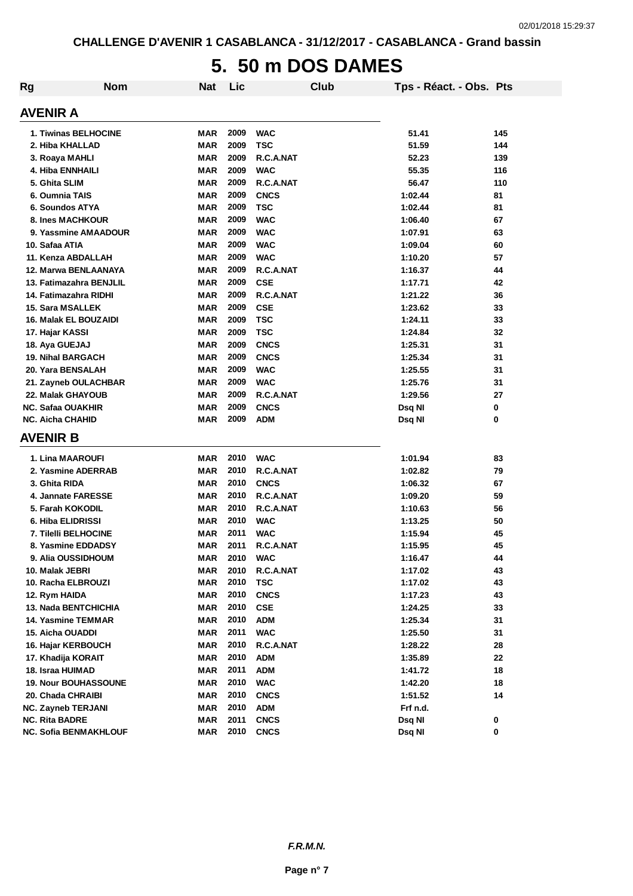# **5. 50 m DOS DAMES**

| Rg | <b>Nom</b>                  | <b>Nat</b> | Lic  |             | Club | Tps - Réact. - Obs. Pts |     |
|----|-----------------------------|------------|------|-------------|------|-------------------------|-----|
|    | <b>AVENIR A</b>             |            |      |             |      |                         |     |
|    | <b>1. Tiwinas BELHOCINE</b> | MAR        | 2009 | <b>WAC</b>  |      | 51.41                   | 145 |
|    | 2. Hiba KHALLAD             | <b>MAR</b> | 2009 | <b>TSC</b>  |      | 51.59                   | 144 |
|    | 3. Roaya MAHLI              | <b>MAR</b> | 2009 | R.C.A.NAT   |      | 52.23                   | 139 |
|    | 4. Hiba ENNHAILI            | <b>MAR</b> | 2009 | <b>WAC</b>  |      | 55.35                   | 116 |
|    | 5. Ghita SLIM               | <b>MAR</b> | 2009 | R.C.A.NAT   |      | 56.47                   | 110 |
|    | 6. Oumnia TAIS              | <b>MAR</b> | 2009 | <b>CNCS</b> |      | 1:02.44                 | 81  |
|    | 6. Soundos ATYA             | <b>MAR</b> | 2009 | <b>TSC</b>  |      | 1:02.44                 | 81  |
|    | 8. Ines MACHKOUR            | <b>MAR</b> | 2009 | <b>WAC</b>  |      | 1:06.40                 | 67  |
|    | 9. Yassmine AMAADOUR        | <b>MAR</b> | 2009 | <b>WAC</b>  |      | 1:07.91                 | 63  |
|    | 10. Safaa ATIA              | <b>MAR</b> | 2009 | <b>WAC</b>  |      | 1:09.04                 | 60  |
|    | 11. Kenza ABDALLAH          | <b>MAR</b> | 2009 | <b>WAC</b>  |      | 1:10.20                 | 57  |
|    | 12. Marwa BENLAANAYA        | <b>MAR</b> | 2009 | R.C.A.NAT   |      | 1:16.37                 | 44  |
|    | 13. Fatimazahra BENJLIL     | <b>MAR</b> | 2009 | <b>CSE</b>  |      | 1:17.71                 | 42  |
|    | 14. Fatimazahra RIDHI       | <b>MAR</b> | 2009 | R.C.A.NAT   |      | 1:21.22                 | 36  |
|    | <b>15. Sara MSALLEK</b>     | <b>MAR</b> | 2009 | <b>CSE</b>  |      | 1:23.62                 | 33  |
|    | 16. Malak EL BOUZAIDI       | <b>MAR</b> | 2009 | <b>TSC</b>  |      | 1:24.11                 | 33  |
|    | 17. Hajar KASSI             | <b>MAR</b> | 2009 | <b>TSC</b>  |      | 1:24.84                 | 32  |
|    | 18. Aya GUEJAJ              | <b>MAR</b> | 2009 | <b>CNCS</b> |      | 1:25.31                 | 31  |
|    | <b>19. Nihal BARGACH</b>    | <b>MAR</b> | 2009 | <b>CNCS</b> |      | 1:25.34                 | 31  |
|    | 20. Yara BENSALAH           | <b>MAR</b> | 2009 | <b>WAC</b>  |      | 1:25.55                 | 31  |
|    | 21. Zayneb OULACHBAR        | <b>MAR</b> | 2009 | <b>WAC</b>  |      | 1:25.76                 | 31  |
|    | 22. Malak GHAYOUB           | <b>MAR</b> | 2009 | R.C.A.NAT   |      | 1:29.56                 | 27  |
|    | <b>NC. Safaa OUAKHIR</b>    | <b>MAR</b> | 2009 | <b>CNCS</b> |      | Dsq NI                  | 0   |
|    | <b>NC. Aicha CHAHID</b>     | <b>MAR</b> | 2009 | <b>ADM</b>  |      | Dsq NI                  | 0   |
|    | <b>AVENIR B</b>             |            |      |             |      |                         |     |
|    | 1. Lina MAAROUFI            | <b>MAR</b> | 2010 | <b>WAC</b>  |      | 1:01.94                 | 83  |
|    | 2. Yasmine ADERRAB          | <b>MAR</b> | 2010 | R.C.A.NAT   |      | 1:02.82                 | 79  |
|    | 3. Ghita RIDA               | <b>MAR</b> | 2010 | <b>CNCS</b> |      | 1:06.32                 | 67  |
|    | 4. Jannate FARESSE          | <b>MAR</b> | 2010 | R.C.A.NAT   |      | 1:09.20                 | 59  |
|    | 5. Farah KOKODIL            | <b>MAR</b> | 2010 | R.C.A.NAT   |      | 1:10.63                 | 56  |
|    | 6. Hiba ELIDRISSI           | <b>MAR</b> | 2010 | <b>WAC</b>  |      | 1:13.25                 | 50  |
|    | 7. Tilelli BELHOCINE        | <b>MAR</b> | 2011 | <b>WAC</b>  |      | 1:15.94                 | 45  |
|    | 8. Yasmine EDDADSY          | <b>MAR</b> | 2011 | R.C.A.NAT   |      | 1:15.95                 | 45  |
|    | 9. Alia OUSSIDHOUM          | <b>MAR</b> | 2010 | <b>WAC</b>  |      | 1:16.47                 | 44  |
|    | 10. Malak JEBRI             | MAR        | 2010 | R.C.A.NAT   |      | 1:17.02                 | 43  |
|    | 10. Racha ELBROUZI          | <b>MAR</b> | 2010 | <b>TSC</b>  |      | 1:17.02                 | 43  |
|    | 12. Rym HAIDA               | <b>MAR</b> | 2010 | <b>CNCS</b> |      | 1:17.23                 | 43  |
|    | <b>13. Nada BENTCHICHIA</b> | <b>MAR</b> | 2010 | <b>CSE</b>  |      | 1:24.25                 | 33  |
|    | <b>14. Yasmine TEMMAR</b>   | <b>MAR</b> | 2010 | <b>ADM</b>  |      | 1:25.34                 | 31  |
|    | 15. Aicha OUADDI            | <b>MAR</b> | 2011 | <b>WAC</b>  |      | 1:25.50                 | 31  |
|    | 16. Hajar KERBOUCH          | <b>MAR</b> | 2010 | R.C.A.NAT   |      | 1:28.22                 | 28  |
|    | 17. Khadija KORAIT          | <b>MAR</b> | 2010 | <b>ADM</b>  |      | 1:35.89                 | 22  |
|    | 18. Israa HUIMAD            | <b>MAR</b> | 2011 | <b>ADM</b>  |      | 1:41.72                 | 18  |
|    | <b>19. Nour BOUHASSOUNE</b> | <b>MAR</b> | 2010 | <b>WAC</b>  |      | 1:42.20                 | 18  |
|    | 20. Chada CHRAIBI           | <b>MAR</b> | 2010 | <b>CNCS</b> |      | 1:51.52                 | 14  |
|    | NC. Zayneb TERJANI          | <b>MAR</b> | 2010 | <b>ADM</b>  |      | Frf n.d.                |     |
|    | <b>NC. Rita BADRE</b>       | <b>MAR</b> | 2011 | <b>CNCS</b> |      | Dsq NI                  | 0   |
|    | NC. Sofia BENMAKHLOUF       | <b>MAR</b> | 2010 | <b>CNCS</b> |      | Dsq NI                  | 0   |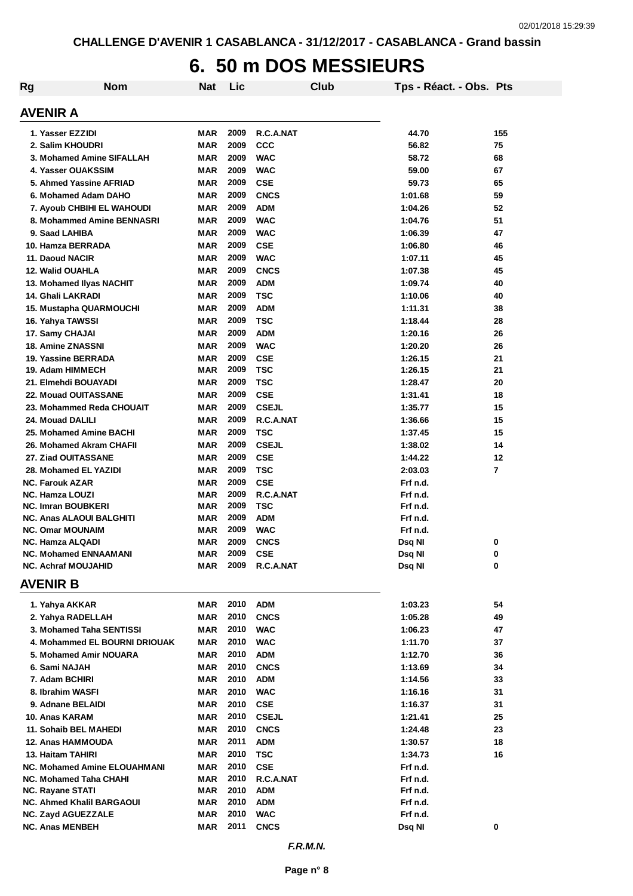### **6. 50 m DOS MESSIEURS**

| <b>Rg</b> | <b>Nom</b>                                            | <b>Nat</b>        | Lic          |                           | Club | Tps - Réact. - Obs. Pts |                |
|-----------|-------------------------------------------------------|-------------------|--------------|---------------------------|------|-------------------------|----------------|
|           | <b>AVENIR A</b>                                       |                   |              |                           |      |                         |                |
|           | 1. Yasser EZZIDI                                      | MAR               | 2009         | R.C.A.NAT                 |      | 44.70                   | 155            |
|           | 2. Salim KHOUDRI                                      | <b>MAR</b>        | 2009         | <b>CCC</b>                |      | 56.82                   | 75             |
|           | 3. Mohamed Amine SIFALLAH                             | <b>MAR</b>        | 2009         | <b>WAC</b>                |      | 58.72                   | 68             |
|           | 4. Yasser OUAKSSIM                                    | <b>MAR</b>        | 2009         | <b>WAC</b>                |      | 59.00                   | 67             |
|           | 5. Ahmed Yassine AFRIAD                               | <b>MAR</b>        | 2009         | <b>CSE</b>                |      | 59.73                   | 65             |
|           | 6. Mohamed Adam DAHO                                  | <b>MAR</b>        | 2009         | <b>CNCS</b>               |      | 1:01.68                 | 59             |
|           | 7. Ayoub CHBIHI EL WAHOUDI                            | <b>MAR</b>        | 2009         | <b>ADM</b>                |      | 1:04.26                 | 52             |
|           | 8. Mohammed Amine BENNASRI                            | <b>MAR</b>        | 2009         | <b>WAC</b>                |      | 1:04.76                 | 51             |
|           | 9. Saad LAHIBA                                        | <b>MAR</b>        | 2009         | <b>WAC</b>                |      | 1:06.39                 | 47             |
|           | 10. Hamza BERRADA                                     | <b>MAR</b>        | 2009         | <b>CSE</b>                |      | 1:06.80                 | 46             |
|           | 11. Daoud NACIR                                       | <b>MAR</b>        | 2009         | <b>WAC</b>                |      | 1:07.11                 | 45             |
|           | 12. Walid OUAHLA                                      | <b>MAR</b>        | 2009         | <b>CNCS</b>               |      | 1:07.38                 | 45             |
|           | 13. Mohamed Ilyas NACHIT                              | <b>MAR</b>        | 2009         | <b>ADM</b>                |      | 1:09.74                 | 40             |
|           | 14. Ghali LAKRADI                                     | <b>MAR</b>        | 2009         | <b>TSC</b>                |      | 1:10.06                 | 40             |
|           | <b>15. Mustapha QUARMOUCHI</b>                        | <b>MAR</b>        | 2009         | <b>ADM</b>                |      | 1:11.31                 | 38             |
|           | 16. Yahya TAWSSI                                      | <b>MAR</b>        | 2009         | <b>TSC</b>                |      | 1:18.44                 | 28             |
|           | 17. Samy CHAJAI                                       | <b>MAR</b>        | 2009         | <b>ADM</b>                |      | 1:20.16                 | 26             |
|           | <b>18. Amine ZNASSNI</b>                              | <b>MAR</b>        | 2009         | <b>WAC</b>                |      | 1:20.20                 | 26             |
|           | 19. Yassine BERRADA                                   | <b>MAR</b>        | 2009         | <b>CSE</b>                |      | 1:26.15                 | 21             |
|           | 19. Adam HIMMECH                                      | <b>MAR</b>        | 2009         | <b>TSC</b>                |      | 1:26.15                 | 21             |
|           | 21. Elmehdi BOUAYADI                                  | <b>MAR</b>        | 2009         | <b>TSC</b>                |      | 1:28.47                 | 20             |
|           | 22. Mouad OUITASSANE                                  | <b>MAR</b>        | 2009         | <b>CSE</b>                |      | 1:31.41                 | 18             |
|           | 23. Mohammed Reda CHOUAIT                             | <b>MAR</b>        | 2009         | <b>CSEJL</b>              |      | 1:35.77                 | 15             |
|           | 24. Mouad DALILI                                      | <b>MAR</b>        | 2009         | R.C.A.NAT                 |      | 1:36.66                 | 15             |
|           | 25. Mohamed Amine BACHI                               | <b>MAR</b>        | 2009         | <b>TSC</b>                |      | 1:37.45                 | 15             |
|           | 26. Mohamed Akram CHAFII                              | <b>MAR</b>        | 2009         | <b>CSEJL</b>              |      | 1:38.02                 | 14             |
|           | 27. Ziad OUITASSANE                                   | <b>MAR</b>        | 2009         | <b>CSE</b>                |      | 1:44.22                 | 12             |
|           | 28. Mohamed EL YAZIDI                                 | <b>MAR</b>        | 2009         | <b>TSC</b>                |      | 2:03.03                 | $\overline{7}$ |
|           | <b>NC. Farouk AZAR</b>                                | <b>MAR</b>        | 2009         | <b>CSE</b>                |      | Frf n.d.                |                |
|           | <b>NC. Hamza LOUZI</b>                                | MAR               | 2009         | R.C.A.NAT                 |      | Frf n.d.                |                |
|           | <b>NC. Imran BOUBKERI</b><br>NC. Anas ALAOUI BALGHITI | <b>MAR</b><br>MAR | 2009<br>2009 | <b>TSC</b><br><b>ADM</b>  |      | Frf n.d.<br>Frf n.d.    |                |
|           | <b>NC. Omar MOUNAIM</b>                               | MAR               | 2009         | <b>WAC</b>                |      | Frf n.d.                |                |
|           | <b>NC. Hamza ALQADI</b>                               | <b>MAR</b>        | 2009         | <b>CNCS</b>               |      | Dsq NI                  | 0              |
|           | <b>NC. Mohamed ENNAAMANI</b>                          | MAR               | 2009         | <b>CSE</b>                |      | Dsq NI                  | 0              |
|           | <b>NC. Achraf MOUJAHID</b>                            | MAR               | 2009         | R.C.A.NAT                 |      | Dsq NI                  | 0              |
|           | <b>AVENIR B</b>                                       |                   |              |                           |      |                         |                |
|           |                                                       |                   | 2010         |                           |      |                         |                |
|           | 1. Yahya AKKAR<br>2. Yahya RADELLAH                   | MAR<br><b>MAR</b> | 2010         | <b>ADM</b><br><b>CNCS</b> |      | 1:03.23<br>1:05.28      | 54<br>49       |
|           | 3. Mohamed Taha SENTISSI                              | <b>MAR</b>        | 2010         | <b>WAC</b>                |      | 1:06.23                 | 47             |
|           | 4. Mohammed EL BOURNI DRIOUAK                         | <b>MAR</b>        | 2010         | <b>WAC</b>                |      | 1:11.70                 | 37             |
|           | 5. Mohamed Amir NOUARA                                | <b>MAR</b>        | 2010         | <b>ADM</b>                |      | 1:12.70                 | 36             |
|           | 6. Sami NAJAH                                         | MAR               | 2010         | <b>CNCS</b>               |      | 1:13.69                 | 34             |
|           | 7. Adam BCHIRI                                        | MAR               | 2010         | <b>ADM</b>                |      | 1:14.56                 | 33             |
|           | 8. Ibrahim WASFI                                      | MAR               | 2010         | <b>WAC</b>                |      | 1:16.16                 | 31             |
|           | 9. Adnane BELAIDI                                     | MAR               | 2010         | <b>CSE</b>                |      | 1:16.37                 | 31             |
|           | 10. Anas KARAM                                        | MAR               | 2010         | <b>CSEJL</b>              |      | 1:21.41                 | 25             |
|           | 11. Sohaib BEL MAHEDI                                 | <b>MAR</b>        | 2010         | <b>CNCS</b>               |      | 1:24.48                 | 23             |
|           | 12. Anas HAMMOUDA                                     | <b>MAR</b>        | 2011         | <b>ADM</b>                |      | 1:30.57                 | 18             |
|           | 13. Haitam TAHIRI                                     | <b>MAR</b>        | 2010         | <b>TSC</b>                |      | 1:34.73                 | 16             |
|           | <b>NC. Mohamed Amine ELOUAHMANI</b>                   | <b>MAR</b>        | 2010         | <b>CSE</b>                |      | Frf n.d.                |                |
|           | <b>NC. Mohamed Taha CHAHI</b>                         | <b>MAR</b>        | 2010         | R.C.A.NAT                 |      | Frf n.d.                |                |
|           | <b>NC. Rayane STATI</b>                               | MAR               | 2010         | <b>ADM</b>                |      | Frf n.d.                |                |
|           | NC. Ahmed Khalil BARGAOUI                             | MAR               | 2010         | <b>ADM</b>                |      | Frf n.d.                |                |
|           | <b>NC. Zayd AGUEZZALE</b>                             | <b>MAR</b>        | 2010         | <b>WAC</b>                |      | Frf n.d.                |                |
|           | <b>NC. Anas MENBEH</b>                                | <b>MAR</b>        | 2011         | <b>CNCS</b>               |      | Dsq NI                  | 0              |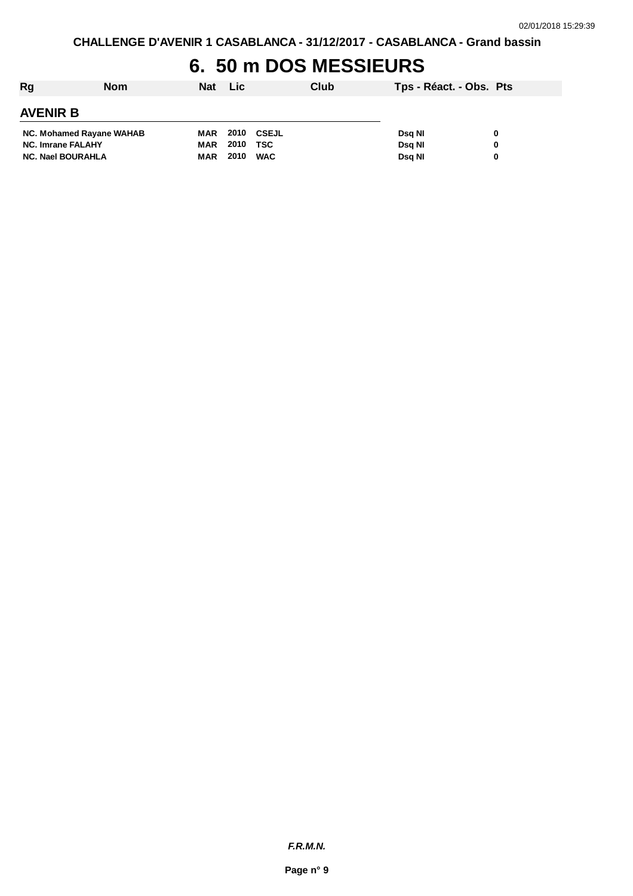### **6. 50 m DOS MESSIEURS**

| Rg                       | <b>Nom</b> | Nat Lic    |      |            | Club | Tps - Réact. - Obs. Pts |   |  |  |  |
|--------------------------|------------|------------|------|------------|------|-------------------------|---|--|--|--|
| <b>AVENIR B</b>          |            |            |      |            |      |                         |   |  |  |  |
| NC. Mohamed Rayane WAHAB |            | MAR        | 2010 | CSEJL      |      | Dsa NI                  | 0 |  |  |  |
| <b>NC. Imrane FALAHY</b> |            | MAR        | 2010 | TSC        |      | Dsg NI                  | 0 |  |  |  |
| <b>NC. Nael BOURAHLA</b> |            | <b>MAR</b> | 2010 | <b>WAC</b> |      | Dsg NI                  | 0 |  |  |  |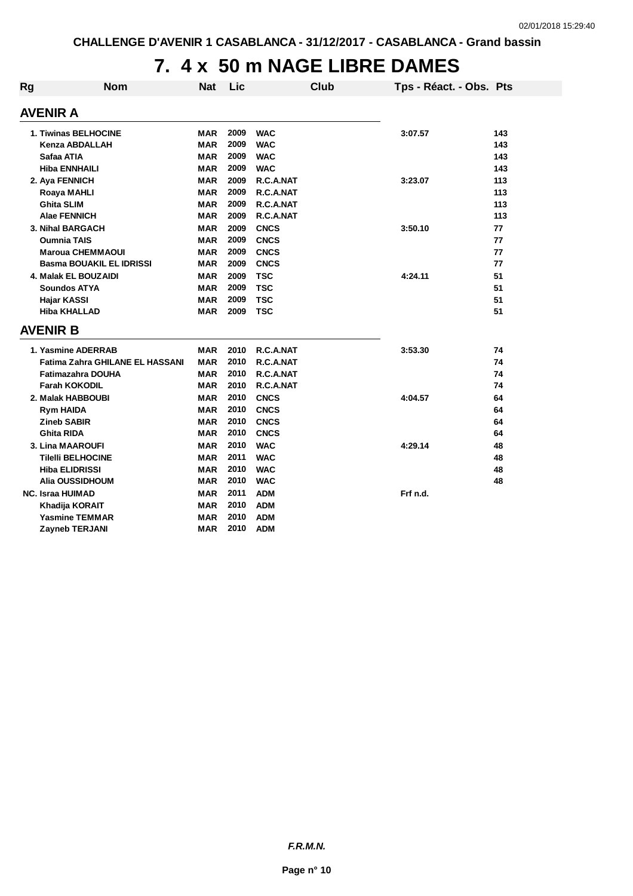## **7. 4 x 50 m NAGE LIBRE DAMES**

| Rg | <b>Nom</b>                             | <b>Nat</b> | Lic  |             | <b>Club</b> | Tps - Réact. - Obs. Pts |     |
|----|----------------------------------------|------------|------|-------------|-------------|-------------------------|-----|
|    | AVENIR A                               |            |      |             |             |                         |     |
|    |                                        |            |      |             |             |                         |     |
|    | <b>1. Tiwinas BELHOCINE</b>            | MAR        | 2009 | <b>WAC</b>  |             | 3:07.57                 | 143 |
|    | Kenza ABDALLAH                         | <b>MAR</b> | 2009 | <b>WAC</b>  |             |                         | 143 |
|    | Safaa ATIA                             | <b>MAR</b> | 2009 | <b>WAC</b>  |             |                         | 143 |
|    | <b>Hiba ENNHAILI</b>                   | <b>MAR</b> | 2009 | <b>WAC</b>  |             |                         | 143 |
|    | 2. Aya FENNICH                         | <b>MAR</b> | 2009 | R.C.A.NAT   |             | 3:23.07                 | 113 |
|    | Roaya MAHLI                            | <b>MAR</b> | 2009 | R.C.A.NAT   |             |                         | 113 |
|    | <b>Ghita SLIM</b>                      | <b>MAR</b> | 2009 | R.C.A.NAT   |             |                         | 113 |
|    | <b>Alae FENNICH</b>                    | <b>MAR</b> | 2009 | R.C.A.NAT   |             |                         | 113 |
|    | 3. Nihal BARGACH                       | <b>MAR</b> | 2009 | <b>CNCS</b> |             | 3:50.10                 | 77  |
|    | <b>Oumnia TAIS</b>                     | <b>MAR</b> | 2009 | <b>CNCS</b> |             |                         | 77  |
|    | <b>Maroua CHEMMAOUI</b>                | MAR        | 2009 | <b>CNCS</b> |             |                         | 77  |
|    | <b>Basma BOUAKIL EL IDRISSI</b>        | <b>MAR</b> | 2009 | <b>CNCS</b> |             |                         | 77  |
|    | 4. Malak EL BOUZAIDI                   | <b>MAR</b> | 2009 | <b>TSC</b>  |             | 4:24.11                 | 51  |
|    | <b>Soundos ATYA</b>                    | <b>MAR</b> | 2009 | <b>TSC</b>  |             |                         | 51  |
|    | Hajar KASSI                            | <b>MAR</b> | 2009 | <b>TSC</b>  |             |                         | 51  |
|    | <b>Hiba KHALLAD</b>                    | <b>MAR</b> | 2009 | <b>TSC</b>  |             |                         | 51  |
|    | <b>AVENIR B</b>                        |            |      |             |             |                         |     |
|    | 1. Yasmine ADERRAB                     | <b>MAR</b> | 2010 | R.C.A.NAT   |             | 3:53.30                 | 74  |
|    | <b>Fatima Zahra GHILANE EL HASSANI</b> | <b>MAR</b> | 2010 | R.C.A.NAT   |             |                         | 74  |
|    | <b>Fatimazahra DOUHA</b>               | <b>MAR</b> | 2010 | R.C.A.NAT   |             |                         | 74  |
|    | <b>Farah KOKODIL</b>                   | <b>MAR</b> | 2010 | R.C.A.NAT   |             |                         | 74  |
|    | 2. Malak HABBOUBI                      | <b>MAR</b> | 2010 | <b>CNCS</b> |             | 4:04.57                 | 64  |
|    | <b>Rym HAIDA</b>                       | <b>MAR</b> | 2010 | <b>CNCS</b> |             |                         | 64  |
|    | <b>Zineb SABIR</b>                     | <b>MAR</b> | 2010 | <b>CNCS</b> |             |                         | 64  |
|    | <b>Ghita RIDA</b>                      | <b>MAR</b> | 2010 | <b>CNCS</b> |             |                         | 64  |
|    | <b>3. Lina MAAROUFI</b>                | <b>MAR</b> | 2010 | <b>WAC</b>  |             | 4:29.14                 | 48  |
|    | <b>Tilelli BELHOCINE</b>               | <b>MAR</b> | 2011 | <b>WAC</b>  |             |                         | 48  |
|    | <b>Hiba ELIDRISSI</b>                  | <b>MAR</b> | 2010 | <b>WAC</b>  |             |                         | 48  |
|    | Alia OUSSIDHOUM                        | <b>MAR</b> | 2010 | <b>WAC</b>  |             |                         | 48  |
|    | <b>NC. Israa HUIMAD</b>                | <b>MAR</b> | 2011 | <b>ADM</b>  |             | Frf n.d.                |     |
|    | Khadija KORAIT                         | <b>MAR</b> | 2010 | <b>ADM</b>  |             |                         |     |
|    | Yasmine TEMMAR                         | <b>MAR</b> | 2010 | <b>ADM</b>  |             |                         |     |
|    | <b>Zayneb TERJANI</b>                  | <b>MAR</b> | 2010 | <b>ADM</b>  |             |                         |     |

*F.R.M.N.*

**Page n° 10**